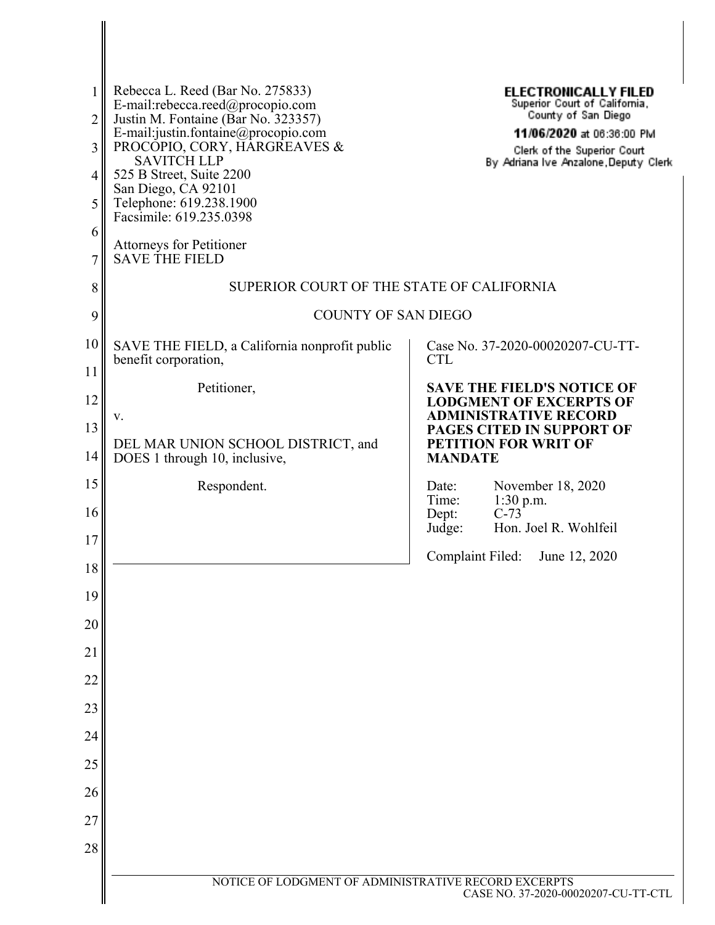| 1        | Rebecca L. Reed (Bar No. 275833)<br>E-mail:rebecca.reed@procopio.com                      | <b>ELECTRONICALLY FILED</b><br>Superior Court of California,                                |  |  |  |  |  |  |
|----------|-------------------------------------------------------------------------------------------|---------------------------------------------------------------------------------------------|--|--|--|--|--|--|
| 2        | Justin M. Fontaine (Bar No. 323357)                                                       | County of San Diego<br>11/06/2020 at 06:36:00 PM                                            |  |  |  |  |  |  |
| 3        | E-mail:justin.fontaine@procopio.com<br>PROCOPIO, CORY, HARGREAVES &<br><b>SAVITCH LLP</b> | Clerk of the Superior Court<br>By Adriana Ive Anzalone, Deputy Clerk                        |  |  |  |  |  |  |
| 4        | 525 B Street, Suite 2200<br>San Diego, CA 92101                                           |                                                                                             |  |  |  |  |  |  |
| 5        | Telephone: 619.238.1900<br>Facsimile: 619.235.0398                                        |                                                                                             |  |  |  |  |  |  |
| 6<br>7   | Attorneys for Petitioner<br><b>SAVE THE FIELD</b>                                         |                                                                                             |  |  |  |  |  |  |
| 8        | SUPERIOR COURT OF THE STATE OF CALIFORNIA                                                 |                                                                                             |  |  |  |  |  |  |
| 9        | <b>COUNTY OF SAN DIEGO</b>                                                                |                                                                                             |  |  |  |  |  |  |
| 10<br>11 | SAVE THE FIELD, a California nonprofit public<br>benefit corporation,                     | Case No. 37-2020-00020207-CU-TT-<br><b>CTL</b>                                              |  |  |  |  |  |  |
| 12       | Petitioner,                                                                               | <b>SAVE THE FIELD'S NOTICE OF</b>                                                           |  |  |  |  |  |  |
| 13       | v.                                                                                        | <b>LODGMENT OF EXCERPTS OF</b><br><b>ADMINISTRATIVE RECORD</b><br>PAGES CITED IN SUPPORT OF |  |  |  |  |  |  |
| 14       | DEL MAR UNION SCHOOL DISTRICT, and<br>DOES 1 through 10, inclusive,                       | PETITION FOR WRIT OF<br><b>MANDATE</b>                                                      |  |  |  |  |  |  |
| 15       | Respondent.                                                                               | November 18, 2020<br>Date:                                                                  |  |  |  |  |  |  |
| 16       |                                                                                           | Time:<br>1:30 p.m.<br>$C-73$<br>Dept:<br>Hon. Joel R. Wohlfeil<br>Judge:                    |  |  |  |  |  |  |
| 17       |                                                                                           | Complaint Filed:<br>June 12, 2020                                                           |  |  |  |  |  |  |
| 18       |                                                                                           |                                                                                             |  |  |  |  |  |  |
| 19       |                                                                                           |                                                                                             |  |  |  |  |  |  |
| 20       |                                                                                           |                                                                                             |  |  |  |  |  |  |
| 21       |                                                                                           |                                                                                             |  |  |  |  |  |  |
| 22       |                                                                                           |                                                                                             |  |  |  |  |  |  |
| 23       |                                                                                           |                                                                                             |  |  |  |  |  |  |
| 24       |                                                                                           |                                                                                             |  |  |  |  |  |  |
| 25       |                                                                                           |                                                                                             |  |  |  |  |  |  |
| 26       |                                                                                           |                                                                                             |  |  |  |  |  |  |
| 27<br>28 |                                                                                           |                                                                                             |  |  |  |  |  |  |
|          |                                                                                           |                                                                                             |  |  |  |  |  |  |
|          | NOTICE OF LODGMENT OF ADMINISTRATIVE RECORD EXCERPTS                                      | CASE NO. 37-2020-00020207-CU-TT-CTL                                                         |  |  |  |  |  |  |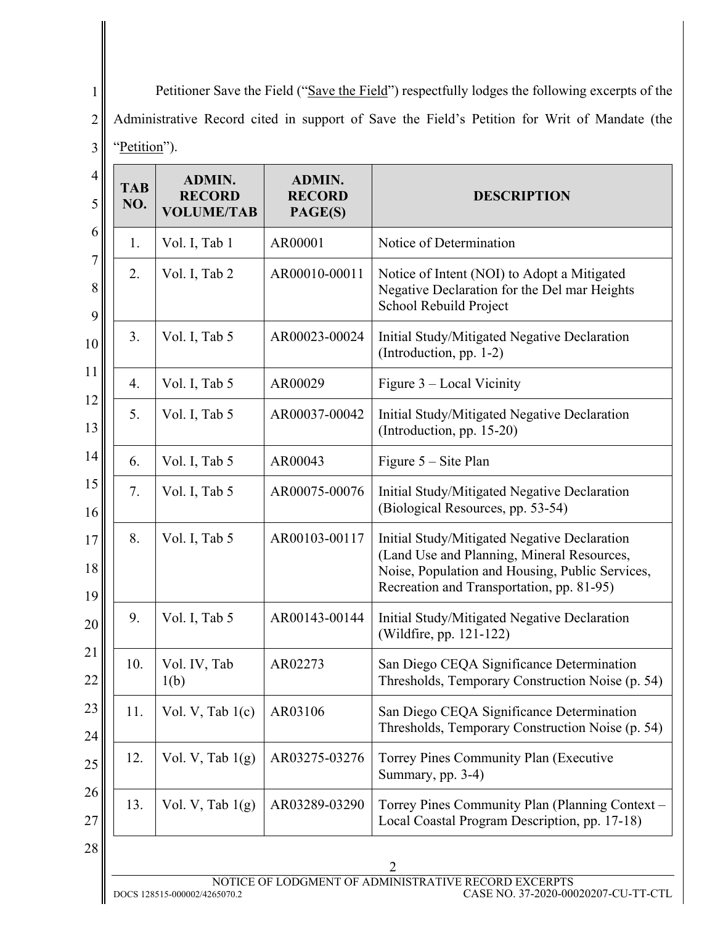2 3 Petitioner Save the Field ("Save the Field") respectfully lodges the following excerpts of the Administrative Record cited in support of Save the Field's Petition for Writ of Mandate (the "Petition").

| <b>TAB</b><br>NO. | <b>ADMIN.</b><br><b>RECORD</b><br><b>VOLUME/TAB</b> | <b>ADMIN.</b><br><b>RECORD</b><br>PAGE(S) | <b>DESCRIPTION</b>                                                                                                                                                                         |
|-------------------|-----------------------------------------------------|-------------------------------------------|--------------------------------------------------------------------------------------------------------------------------------------------------------------------------------------------|
| 1.                | Vol. I, Tab 1                                       | AR00001                                   | Notice of Determination                                                                                                                                                                    |
| 2.                | Vol. I, Tab 2                                       | AR00010-00011                             | Notice of Intent (NOI) to Adopt a Mitigated<br>Negative Declaration for the Del mar Heights<br>School Rebuild Project                                                                      |
| 3.                | Vol. I, Tab 5                                       | AR00023-00024                             | Initial Study/Mitigated Negative Declaration<br>(Introduction, pp. 1-2)                                                                                                                    |
| 4.                | Vol. I, Tab 5                                       | AR00029                                   | Figure 3 - Local Vicinity                                                                                                                                                                  |
| 5.                | Vol. I, Tab 5                                       | AR00037-00042                             | Initial Study/Mitigated Negative Declaration<br>(Introduction, pp. 15-20)                                                                                                                  |
| 6.                | Vol. I, Tab 5                                       | AR00043                                   | Figure $5 -$ Site Plan                                                                                                                                                                     |
| 7.                | Vol. I, Tab 5                                       | AR00075-00076                             | Initial Study/Mitigated Negative Declaration<br>(Biological Resources, pp. 53-54)                                                                                                          |
| 8.                | Vol. I, Tab 5                                       | AR00103-00117                             | Initial Study/Mitigated Negative Declaration<br>(Land Use and Planning, Mineral Resources,<br>Noise, Population and Housing, Public Services,<br>Recreation and Transportation, pp. 81-95) |
| 9.                | Vol. I, Tab 5                                       | AR00143-00144                             | Initial Study/Mitigated Negative Declaration<br>(Wildfire, pp. 121-122)                                                                                                                    |
| 10.               | Vol. IV, Tab<br>1(b)                                | AR02273                                   | San Diego CEQA Significance Determination<br>Thresholds, Temporary Construction Noise (p. 54)                                                                                              |
| 11.               | Vol. V, Tab $1(c)$                                  | AR03106                                   | San Diego CEQA Significance Determination<br>Thresholds, Temporary Construction Noise (p. 54)                                                                                              |
| 12.               | Vol. V, Tab $1(g)$                                  | AR03275-03276                             | Torrey Pines Community Plan (Executive<br>Summary, pp. 3-4)                                                                                                                                |
| 13.               | Vol. V, Tab $1(g)$                                  | AR03289-03290                             | Torrey Pines Community Plan (Planning Context -<br>Local Coastal Program Description, pp. 17-18)                                                                                           |
|                   |                                                     |                                           | 2<br>NOTICE OF LODGMENT OF ADMINISTRATIVE RECORD EXCERPTS                                                                                                                                  |

1

DOCS 128515-000002/4265070.2 CASE NO. 37-2020-00020207-CU-TT-CTL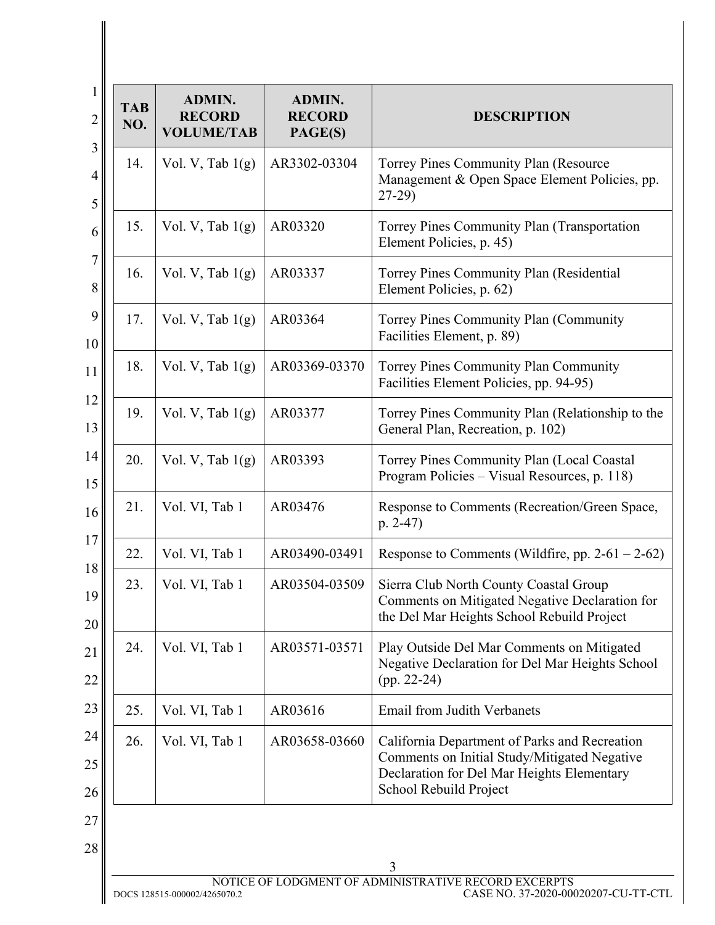| <b>TAB</b><br>NO. | <b>ADMIN.</b><br><b>RECORD</b><br><b>VOLUME/TAB</b> | ADMIN.<br><b>RECORD</b><br>PAGE(S) | <b>DESCRIPTION</b>                                                                                                                                                    |
|-------------------|-----------------------------------------------------|------------------------------------|-----------------------------------------------------------------------------------------------------------------------------------------------------------------------|
| 14.               | Vol. V, Tab $1(g)$                                  | AR3302-03304                       | Torrey Pines Community Plan (Resource<br>Management & Open Space Element Policies, pp.<br>$27-29$                                                                     |
| 15.               | Vol. V, Tab $1(g)$                                  | AR03320                            | Torrey Pines Community Plan (Transportation<br>Element Policies, p. 45)                                                                                               |
| 16.               | Vol. V, Tab $1(g)$                                  | AR03337                            | Torrey Pines Community Plan (Residential<br>Element Policies, p. 62)                                                                                                  |
| 17.               | Vol. V, Tab $1(g)$                                  | AR03364                            | Torrey Pines Community Plan (Community<br>Facilities Element, p. 89)                                                                                                  |
| 18.               | Vol. V, Tab $1(g)$                                  | AR03369-03370                      | <b>Torrey Pines Community Plan Community</b><br>Facilities Element Policies, pp. 94-95)                                                                               |
| 19.               | Vol. V, Tab $1(g)$                                  | AR03377                            | Torrey Pines Community Plan (Relationship to the<br>General Plan, Recreation, p. 102)                                                                                 |
| 20.               | Vol. V, Tab $1(g)$                                  | AR03393                            | Torrey Pines Community Plan (Local Coastal<br>Program Policies - Visual Resources, p. 118)                                                                            |
| 21.               | Vol. VI, Tab 1                                      | AR03476                            | Response to Comments (Recreation/Green Space,<br>$p. 2-47$                                                                                                            |
| 22.               | Vol. VI, Tab 1                                      | AR03490-03491                      | Response to Comments (Wildfire, pp. $2-61-2-62$ )                                                                                                                     |
| 23.               | Vol. VI, Tab 1                                      | AR03504-03509                      | Sierra Club North County Coastal Group<br>Comments on Mitigated Negative Declaration for<br>the Del Mar Heights School Rebuild Project                                |
| 24.               | Vol. VI, Tab 1                                      | AR03571-03571                      | Play Outside Del Mar Comments on Mitigated<br>Negative Declaration for Del Mar Heights School<br>$(pp. 22-24)$                                                        |
| 25.               | Vol. VI, Tab 1                                      | AR03616                            | Email from Judith Verbanets                                                                                                                                           |
| 26.               | Vol. VI, Tab 1                                      | AR03658-03660                      | California Department of Parks and Recreation<br>Comments on Initial Study/Mitigated Negative<br>Declaration for Del Mar Heights Elementary<br>School Rebuild Project |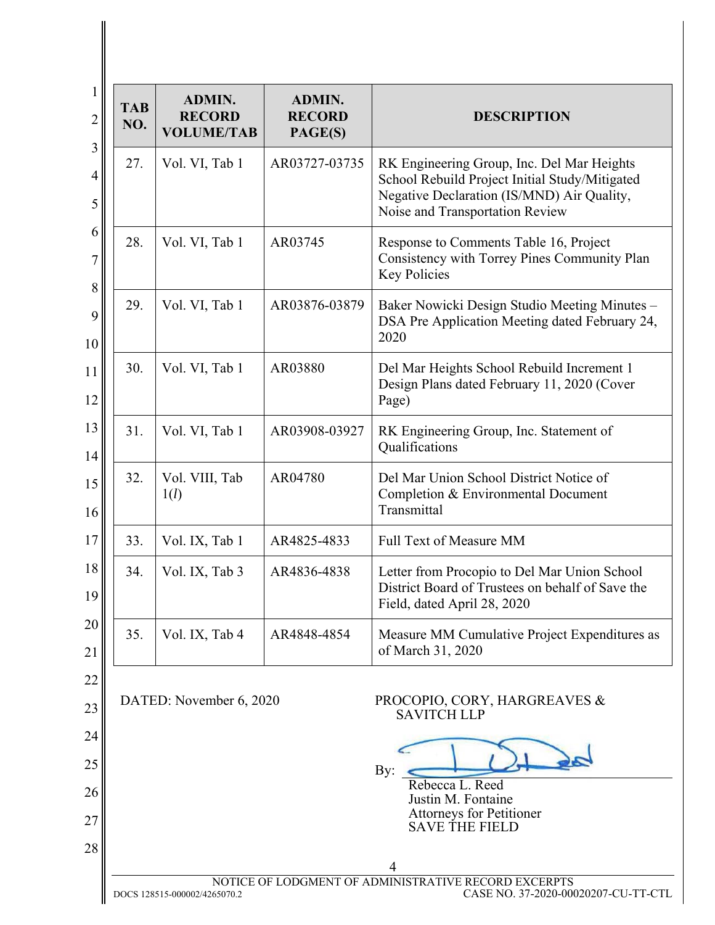| <b>TAB</b><br>NO. | <b>ADMIN.</b><br><b>RECORD</b><br><b>VOLUME/TAB</b> | ADMIN.<br><b>RECORD</b><br>PAGE(S) | <b>DESCRIPTION</b>                                                                                                                                                            |
|-------------------|-----------------------------------------------------|------------------------------------|-------------------------------------------------------------------------------------------------------------------------------------------------------------------------------|
| 27.               | Vol. VI, Tab 1                                      | AR03727-03735                      | RK Engineering Group, Inc. Del Mar Heights<br>School Rebuild Project Initial Study/Mitigated<br>Negative Declaration (IS/MND) Air Quality,<br>Noise and Transportation Review |
| 28.               | Vol. VI, Tab 1                                      | AR03745                            | Response to Comments Table 16, Project<br>Consistency with Torrey Pines Community Plan<br><b>Key Policies</b>                                                                 |
| 29.               | Vol. VI, Tab 1                                      | AR03876-03879                      | Baker Nowicki Design Studio Meeting Minutes -<br>DSA Pre Application Meeting dated February 24,<br>2020                                                                       |
| 30.               | Vol. VI, Tab 1                                      | AR03880                            | Del Mar Heights School Rebuild Increment 1<br>Design Plans dated February 11, 2020 (Cover<br>Page)                                                                            |
| 31.               | Vol. VI, Tab 1                                      | AR03908-03927                      | RK Engineering Group, Inc. Statement of<br>Qualifications                                                                                                                     |
| 32.               | Vol. VIII, Tab<br>1(l)                              | AR04780                            | Del Mar Union School District Notice of<br>Completion & Environmental Document<br>Transmittal                                                                                 |
| 33.               | Vol. IX, Tab 1                                      | AR4825-4833                        | <b>Full Text of Measure MM</b>                                                                                                                                                |
| 34.               | Vol. IX, Tab 3                                      | AR4836-4838                        | Letter from Procopio to Del Mar Union School<br>District Board of Trustees on behalf of Save the<br>Field, dated April 28, 2020                                               |
| 35.               | Vol. IX, Tab 4                                      | AR4848-4854                        | Measure MM Cumulative Project Expenditures as<br>of March 31, 2020                                                                                                            |
|                   | DATED: November 6, 2020                             |                                    | PROCOPIO, CORY, HARGREAVES &<br><b>SAVITCH LLP</b>                                                                                                                            |
|                   |                                                     |                                    | By:<br>Rebecca L. Reed                                                                                                                                                        |
|                   |                                                     |                                    | Justin M. Fontaine<br>Attorneys for Petitioner<br><b>SAVE THE FIELD</b>                                                                                                       |